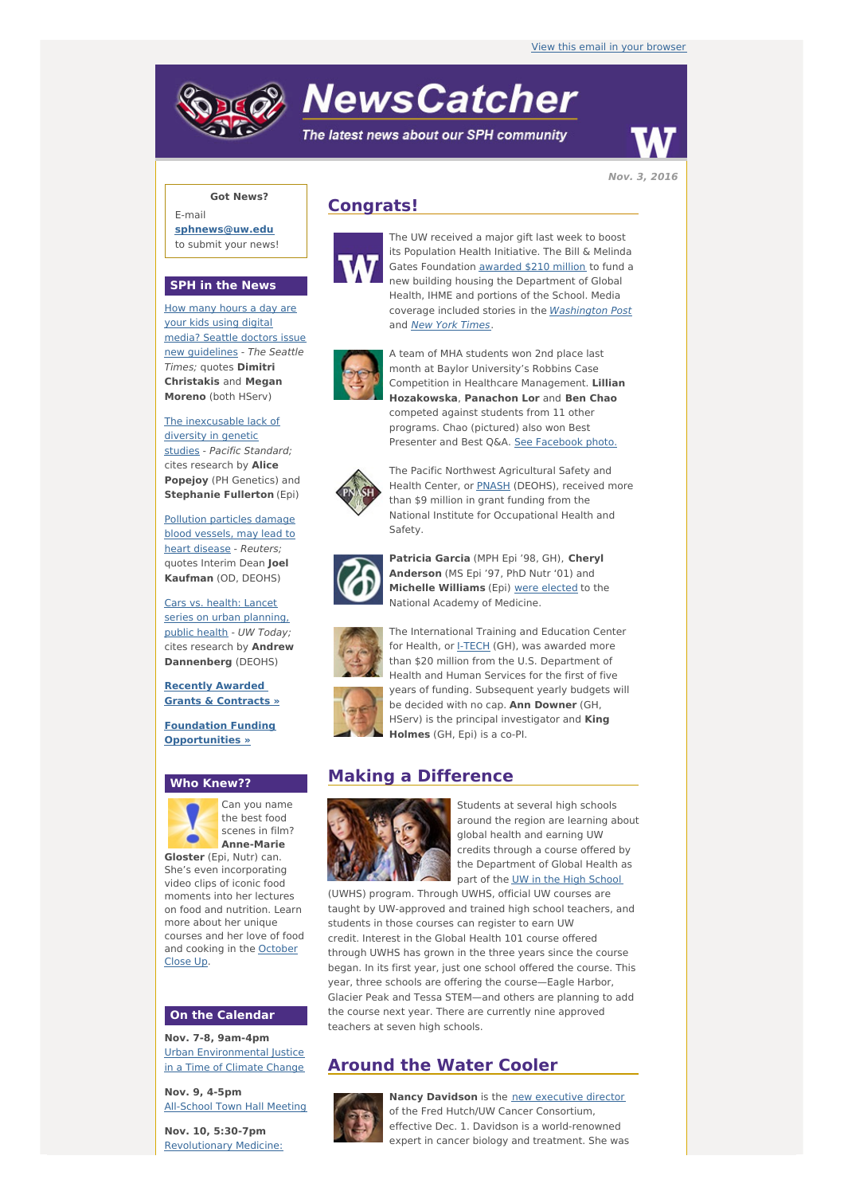# **NewsCatcher**

The latest news about our SPH community



**Got News?**

E-mail **[sphnews@uw.edu](mailto:sphnews@uw.edu)** to submit your news!

## **SPH in the News**

How many hours a day are your kids using digital media? Seattle doctors issue new [guidelines](http://engage.washington.edu/site/R?i=YX3BZAjn2oKU7bPmQf1t6w) - The Seattle Times; quotes **Dimitri Christakis** and **Megan Moreno** (both HServ)

The [inexcusable](http://engage.washington.edu/site/R?i=8q9e5m4kwt9t1QxYBKIimA) lack of diversity in genetic studies - Pacific Standard; cites research by **Alice Popejoy** (PH Genetics) and **Stephanie Fullerton** (Epi)

[Pollution](http://engage.washington.edu/site/R?i=9tPvjJBzLCUJfs6va8Di1Q) particles damage blood vessels, may lead to heart disease - Reuters; quotes Interim Dean **Joel Kaufman** (OD, DEOHS)

Cars vs. health: Lancet series on urban [planning,](http://engage.washington.edu/site/R?i=m6hMQHTIY85osaNHyx7gNQ) public health - UW Today; cites research by **Andrew Dannenberg** (DEOHS)

**Recently [Awarded](http://engage.washington.edu/site/R?i=8u5dKEUSBTgyM4AXCKUxRQ) Grants & Contracts »**

**Foundation Funding [Opportunities](http://engage.washington.edu/site/R?i=cJg0EHx7jbZuEIPCC7s09w) »**

#### **Who Knew??**



Can you name the best food scenes in film? **Anne-Marie**

**Gloster** (Epi, Nutr) can. She's even incorporating video clips of iconic food moments into her lectures on food and nutrition. Learn more about her unique courses and her love of food and [cooking](http://engage.washington.edu/site/R?i=ao92TjPeQrKsFKipAKdjnA) in the October Close Up.

## **On the Calendar**

**Nov. 7-8, 9am-4pm** Urban [Environmental](http://engage.washington.edu/site/R?i=9LuY8mVIvRFp9sv4N4t2ug) Justice in a Time of Climate Change

**Nov. 9, 4-5pm** [All-School](http://engage.washington.edu/site/R?i=Rlc2Y_imAcvL_3hg4gq56Q) Town Hall Meeting

**Nov. 10, 5:30-7pm** [Revolutionary](http://engage.washington.edu/site/R?i=91KnhyabPCimYgF7DrN_3Q) Medicine:

## **Congrats!**



The UW received a major gift last week to boost its Population Health Initiative. The Bill & Melinda Gates Foundation [awarded](http://engage.washington.edu/site/R?i=mR3Yqt2odk0C7xIoZq5zTg) \$210 million to fund a new building housing the Department of Global Health, IHME and portions of the School. Media coverage included stories in the [Washington](http://engage.washington.edu/site/R?i=V0O62nJwvmyCM9_LvMiUZA) Post and **New York [Times](http://engage.washington.edu/site/R?i=2lBTgLDQLhX1U4IFlJP_MA)**.



A team of MHA students won 2nd place last month at Baylor University's Robbins Case Competition in Healthcare Management. **Lillian Hozakowska**, **Panachon Lor** and **Ben Chao** competed against students from 11 other programs. Chao (pictured) also won Best Presenter and Best Q&A. See [Facebook](http://engage.washington.edu/site/R?i=TyhjpBtaXB8btu4z6Gs8GA) photo.



The Pacific Northwest Agricultural Safety and Health Center, or **[PNASH](http://engage.washington.edu/site/R?i=hajTLbcCwgkbPE9qoW21Ig)** (DEOHS), received more than \$9 million in grant funding from the National Institute for Occupational Health and Safety.



**Patricia Garcia** (MPH Epi '98, GH), **Cheryl Anderson** (MS Epi '97, PhD Nutr '01) and **Michelle Williams** (Epi) were [elected](http://engage.washington.edu/site/R?i=e1Guy0z6YZWNWrQQYW0-Vw) to the National Academy of Medicine.

The International Training and Education Center



for Health, or [I-TECH](http://engage.washington.edu/site/R?i=HbNbyrDR9R-XLjN-qQEocA) (GH), was awarded more than \$20 million from the U.S. Department of Health and Human Services for the first of five years of funding. Subsequent yearly budgets will be decided with no cap. **Ann Downer** (GH, HServ) is the principal investigator and **King Holmes** (GH, Epi) is a co-PI.

## **Making a Difference**



Students at several high schools around the region are learning about global health and earning UW credits through a course offered by the Department of Global Health as part of the UW in the High [School](http://engage.washington.edu/site/R?i=IwLxFCsNBOjUOWdndApREA)

(UWHS) program. Through UWHS, official UW courses are taught by UW-approved and trained high school teachers, and students in those courses can register to earn UW credit. Interest in the Global Health 101 course offered through UWHS has grown in the three years since the course began. In its first year, just one school offered the course. This year, three schools are offering the course—Eagle Harbor, Glacier Peak and Tessa STEM—and others are planning to add the course next year. There are currently nine approved teachers at seven high schools.

# **Around the Water Cooler**



**Nancy Davidson** is the new [executive](http://engage.washington.edu/site/R?i=2J1-3WDPluEIru2zCzMP3A) director of the Fred Hutch/UW Cancer Consortium, effective Dec. 1. Davidson is a world-renowned expert in cancer biology and treatment. She was